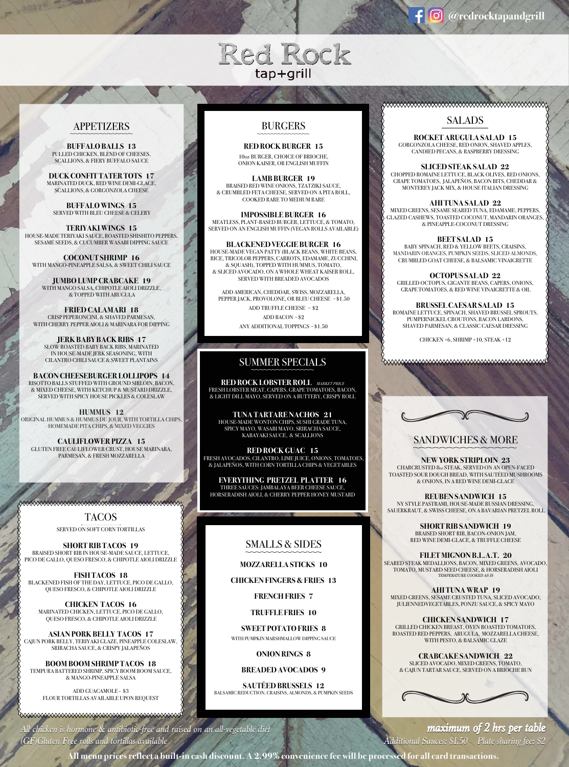# Red Rock tap+grill

#### APPETIZERS

**BUFFALO BALLS 13** PULLED CHICKEN, BLEND OF CHEESES, SCALLIONS, & FIERY BUFFALO SAUCE

**DUCK CONFIT TATER TOTS 17** MARINATED DUCK, RED WINE DEMI-GLACE, SCALLIONS, & GORGONZOLA CHEESE

**BUFFALO WINGS 15** SERVED WITH BLEU CHEESE & CELERY

**TERIYAKI WINGS 15** HOUSE-MADE TERIYAKI SAUCE, ROASTED SHISHITO PEPPERS, SESAME SEEDS, & CUCUMBER WASABI DIPPING SAUCE

**COCONUT SHRIMP 16** WITH MANGO-PINEAPPLE SALSA, & SWEET CHILI SAUCE

**JUMBO LUMP CRABCAKE 19** WITH MANGO SALSA, CHIPOTLE AIOLI DRIZZLE, & TOPPED WITH ARUGULA

**FRIED CALAMARI 18** CRISP PEPERONCINI, & SHAVED PARMESAN, WITH CHERRY PEPPER AIOLI & MARINARA FOR DIPPING

**JERK BABY BACK RIBS 17** SLOW ROASTED BABY BACK RIBS, MARINATED IN HOUSE-MADE JERK SEASONING, WITH CILANTRO CHILI SAUCE & SWEET PLANTAINS

**BACON CHEESEBURGER LOLLIPOPS 14** RISOTTO BALLS STUFFED WITH GROUND SIRLOIN, BACON, & MIXED CHEESE, WITH KETCHUP & MUSTARD DRIZZLE, SERVED WITH SPICY HOUSE PICKLES & COLESLAW

**HUMMUS 12** ORIGINAL HUMMUS & HUMMUS DU JOUR, WITH TORTILLA CHIPS, HOMEMADE PITA CHIPS, & MIXED VEGGIES

**CAULIFLOWER PIZZA 15** GLUTEN FREE CAULIFLOWER CRUST, HOUSE MARINARA, PARMESAN, & FRESH MOZZARELLA

> TACOS SERVED ON SOFT CORN TORTILLAS

<del>∞∞∞∞∞∞∞∞∞∞∞∞∞∞∞∞∞∞∞∞∞∞∞∞∞∞∞∞∞∞∞∞∞</del>∞∞∞

**SHORT RIB TACOS 19** BRAISED SHORT RIB IN HOUSE-MADE SAUCE, LETTUCE, PICO DE GALLO, QUESO FRESCO, & CHIPOTLE AIOLI DRIZZLE

**FISH TACOS 18** BLACKENED FISH OF THE DAY, LETTUCE, PICO DE GALLO, QUESO FRESCO, & CHIPOTLE AIOLI DRIZZLE

**CHICKEN TACOS 16** MARINATED CHICKEN, LETTUCE, PICO DE GALLO, QUESO FRESCO, & CHIPOTLE AIOLI DRIZZLE

**ASIAN PORK BELLY TACOS 17** CAJUN PORK BELLY, TERIYAKI GLAZE, PINEAPPLE COLESLAW, SRIRACHA SAUCE, & CRISPY JALAPEÑOS

**BOOM BOOM SHRIMP TACOS 18** TEMPURA BATTERED SHRIMP, SPICY BOOM BOOM SAUCE, & MANGO-PINEAPPLE SALSA

ADD GUACAMOLE~ \$3 FLOUR TORTILLAS AVAILABLE UPON REQUEST

#### BURGERS

**RED ROCK BURGER 15** 10oz BURGER, CHOICE OF BRIOCHE, ONION KAISER, OR ENGLISH MUFFIN

**LAMB BURGER 19** BRAISED RED WINE ONIONS, TZATZIKI SAUCE, & CRUMBLED FETA CHEESE, SERVED ON A PITA ROLL, COOKED RARE TO MEDIUM RARE

**IMPOSSIBLE BURGER 16** MEATLESS, PLANT-BASED BURGER, LETTUCE, & TOMATO, SERVED ON AN ENGLISH MUFFIN (VEGAN ROLLS AVAILABLE)

**BLACKENED VEGGIE BURGER 16** HOUSE-MADE VEGAN PATTY (BLACK BEANS, WHITE BEANS, RICE, TRICOLOR PEPPERS, CARROTS, EDAMAME, ZUCCHINI, & SQUASH), TOPPED WITH HUMMUS, TOMATO, & SLICED AVOCADO, ON A WHOLE WHEAT KAISER ROLL, SERVED WITH BREADED AVOCADOS

ADD AMERICAN, CHEDDAR, SWISS, MOZZARELLA, PEPPER JACK, PROVOLONE, OR BLEU CHEESE ~ \$1.50 ADD TRUFFLE CHEESE ~ \$2 ADD BACON ~ \$2 ANY ADDITIONAL TOPPINGS ~ \$1.50

#### SUMMER SPECIALS

& LIGHT DILL MAYO, SERVED ON A BUTTERY, CRISPY ROLL<br>-**RED ROCK LOBSTER ROLL MARKET PRICE** FRESH LOBSTER MEAT, CAPERS, GRAPE TOMATOES, BACON,

**MODE WONTON CHIPS, SUSHI GRAI** KABAYAKI SAUCE, & SCALLIONS **TUNA TARTARE NACHOS 21** HOUSE-MADE WONTON CHIPS, SUSHI GRADE TUNA, SPICY MAYO, WASABI MAYO, SRIRACHA SAUCE,

**RED ROCK GUAC 15** FRESH AVOCADOS, CILANTRO, LIME JUICE, ONIONS, TOMATOES, & JALAPEÑOS, WITH CORN TORTILLA CHIPS & VEGETABLES

**EVERYTHING PRETZEL PLATTER 16** THREE SAUCES: JAMBALAYA BEER CHEESE SAUCE, HORSERADISH AIOLI, & CHERRY PEPPER HONEY MUSTARD

#### SMALLS & SIDES

**MOZZARELLA STICKS 10**

**CHICKEN FINGERS & FRIES 13**

**FRENCH FRIES 7**

**TRUFFLE FRIES 10**

**SWEET POTATO FRIES 8** WITH PUMPKIN MARSHMALLOW DIPPING SAUCE

**ONION RINGS 8**

**BREADED AVOCADOS 9**

**SAUTÉED BRUSSELS 12** BALSAMIC REDUCTION, CRAISINS, ALMONDS, & PUMPKIN SEEDS

## 

SALADS

**ROCKET ARUGULA SALAD 15** GORGONZOLA CHEESE, RED ONION, SHAVED APPLES, CANDIED PECANS, & RASPBERRY DRESSING

**SLICED STEAK SALAD 22** CHOPPED ROMAINE LETTUCE, BLACK OLIVES, RED ONIONS, GRAPE TOMATOES, JALAPEÑOS, BACON BITS, CHEDDAR & MONTEREY JACK MIX, & HOUSE ITALIAN DRESSING

**AHI TUNA SALAD 22** MIXED GREENS, SESAME SEARED TUNA, EDAMAME, PEPPERS, GLAZED CASHEWS, TOASTED COCONUT, MANDARIN ORANGES, & PINEAPPLE-COCONUT DRESSING

**BEET SALAD 15** BABY SPINACH, RED & YELLOW BEETS, CRAISINS, MANDARIN ORANGES, PUMPKIN SEEDS, SLICED ALMONDS, CRUMBLED GOAT CHEESE, & BALSAMIC VINAIGRETTE

**OCTOPUS SALAD 22** GRILLED OCTOPUS, GIGANTE BEANS, CAPERS, ONIONS, GRAPE TOMATOES, & RED WINE VINAIGRETTE & OIL

**BRUSSEL CAESAR SALAD 15** ROMAINE LETTUCE, SPINACH, SHAVED BRUSSEL SPROUTS, PUMPERNICKEL CROUTONS, BACON LARDONS SHAVED PARMESAN, & CLASSIC CAESAR DRESSING

CHICKEN +6, SHRIMP +10, STEAK +12

### SANDWICHES & MORE

**NEW YORK STRIPLOIN 23** CHARCRUSTED 8oz STEAK, SERVED ON AN OPEN-FACED TOASTED SOUR DOUGH BREAD, WITH SAUTÉED MUSHROOMS & ONIONS, IN A RED WINE DEMI-GLACE

**REUBEN SANDWICH 15** NY STYLE PASTRAMI, HOUSE-MADE RUSSIAN DRESSING, SAUERKRAUT, & SWISS CHEESE, ON A BAVARIAN PRETZEL ROLL

> **SHORT RIB SANDWICH 19** BRAISED SHORT RIB, BACON-ONION JAM, RED WINE DEMI-GLACE, & TRUFFLE CHEESE

**FILET MIGNON B.L.A.T. 20** SEARED STEAK MEDALLIONS, BACON, MIXED GREENS, AVOCADO, TOMATO, MUSTARD SEED CHEESE, & HORSERADISH AIOLI *TEMPERATURE COOKED AS IS*

**AHI TUNA WRAP 19** MIXED GREENS, SESAME CRUSTED TUNA, SLICED AVOCADO, JULIENNEDVEGETABLES, PONZU SAUCE, & SPICY MAYO

**CHICKEN SANDWICH 17** GRILLED CHICKEN BREAST, OVEN ROASTED TOMATOES, ROASTED RED PEPPERS, ARUGULA, MOZZARELLA CHEESE, WITH PESTO, & BALSAMIC GLAZE

**CRABCAKE SANDWICH 22** SLICED AVOCADO, MIXED GREENS, TOMATO, & CAJUN TARTAR SAUCE, SERVED ON A BRIOCHE BUN



All chicken is hormone  $\&$  antibiotic-free and raised on an all-vegetable diet **Exercise 2 maximum of 2 hrs per table** 

*(GF)Gluten Free rolls and tortillas available Additional Sauces: \$1.50 Plate sharing fee: \$2 (GF)Gluten Free rolls and tortillas available Additional Sauces: \$1.50 Plate sharing fee: \$2*

**All menu prices reflect a built-in cash discount. A 2.99% convenience fee will be processed for all card transactions.**